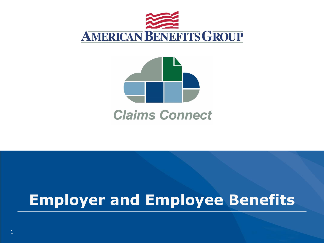



### **Claims Connect**

# **Employer and Employee Benefits**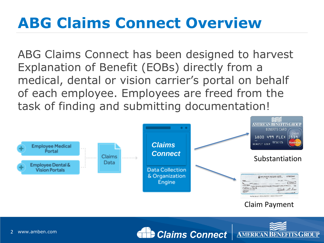# **ABG Claims Connect Overview**

ABG Claims Connect has been designed to harvest Explanation of Benefit (EOBs) directly from a medical, dental or vision carrier's portal on behalf of each employee. Employees are freed from the task of finding and submitting documentation!





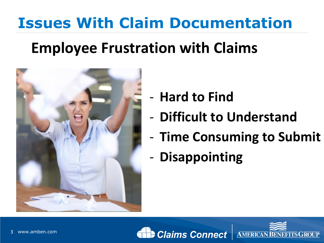### **Employee Frustration with Claims**



- **Hard to Find**
- **Difficult to Understand**
- **Time Consuming to Submit**
- **Disappointing**



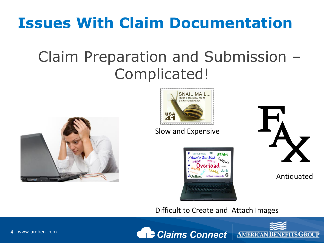### Claim Preparation and Submission – Complicated!





#### Slow and Expensive





Antiquated

Difficult to Create and Attach Images



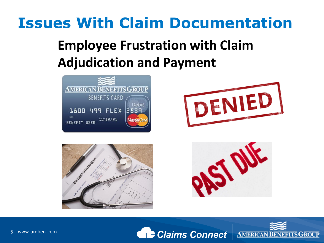### **Employee Frustration with Claim Adjudication and Payment**









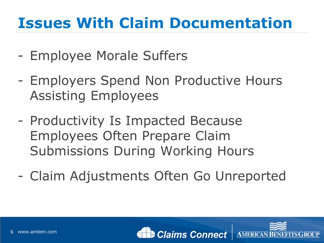- Employee Morale Suffers
- Employers Spend Non Productive Hours Assisting Employees
- Productivity Is Impacted Because Employees Often Prepare Claim Submissions During Working Hours
- Claim Adjustments Often Go Unreported



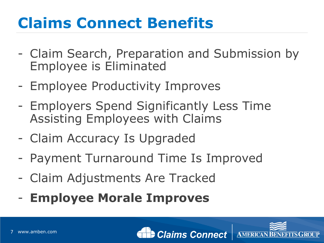# **Claims Connect Benefits**

- Claim Search, Preparation and Submission by Employee is Eliminated
- Employee Productivity Improves
- Employers Spend Significantly Less Time Assisting Employees with Claims
- Claim Accuracy Is Upgraded
- Payment Turnaround Time Is Improved
- Claim Adjustments Are Tracked
- **Employee Morale Improves**